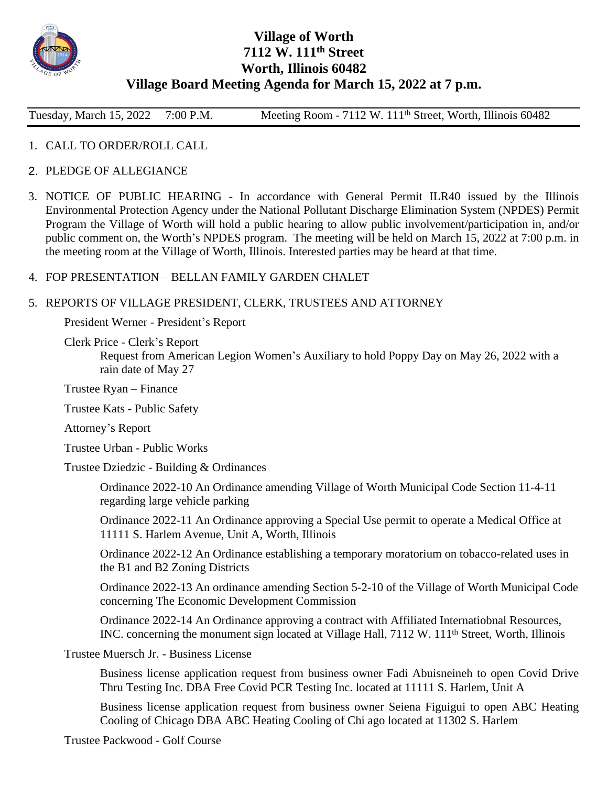

# **Village of Worth 7112 W. 111th Street Worth, Illinois 60482 Village Board Meeting Agenda for March 15, 2022 at 7 p.m.**

Tuesday, March 15, 2022 7:00 P.M. Meeting Room - 7112 W. 111<sup>th</sup> Street, Worth, Illinois 60482

- 1. CALL TO ORDER/ROLL CALL
- 2. PLEDGE OF ALLEGIANCE
- 3. NOTICE OF PUBLIC HEARING In accordance with General Permit ILR40 issued by the Illinois Environmental Protection Agency under the National Pollutant Discharge Elimination System (NPDES) Permit Program the Village of Worth will hold a public hearing to allow public involvement/participation in, and/or public comment on, the Worth's NPDES program. The meeting will be held on March 15, 2022 at 7:00 p.m. in the meeting room at the Village of Worth, Illinois. Interested parties may be heard at that time.

#### 4. FOP PRESENTATION – BELLAN FAMILY GARDEN CHALET

## 5. REPORTS OF VILLAGE PRESIDENT, CLERK, TRUSTEES AND ATTORNEY

President Werner - President's Report

Clerk Price - Clerk's Report

Request from American Legion Women's Auxiliary to hold Poppy Day on May 26, 2022 with a rain date of May 27

Trustee Ryan – Finance

Trustee Kats - Public Safety

Attorney's Report

Trustee Urban - Public Works

Trustee Dziedzic - Building & Ordinances

Ordinance 2022-10 An Ordinance amending Village of Worth Municipal Code Section 11-4-11 regarding large vehicle parking

Ordinance 2022-11 An Ordinance approving a Special Use permit to operate a Medical Office at 11111 S. Harlem Avenue, Unit A, Worth, Illinois

Ordinance 2022-12 An Ordinance establishing a temporary moratorium on tobacco-related uses in the B1 and B2 Zoning Districts

Ordinance 2022-13 An ordinance amending Section 5-2-10 of the Village of Worth Municipal Code concerning The Economic Development Commission

Ordinance 2022-14 An Ordinance approving a contract with Affiliated Internatiobnal Resources, INC. concerning the monument sign located at Village Hall, 7112 W. 111th Street, Worth, Illinois

Trustee Muersch Jr. - Business License

Business license application request from business owner Fadi Abuisneineh to open Covid Drive Thru Testing Inc. DBA Free Covid PCR Testing Inc. located at 11111 S. Harlem, Unit A

Business license application request from business owner Seiena Figuigui to open ABC Heating Cooling of Chicago DBA ABC Heating Cooling of Chi ago located at 11302 S. Harlem

Trustee Packwood - Golf Course